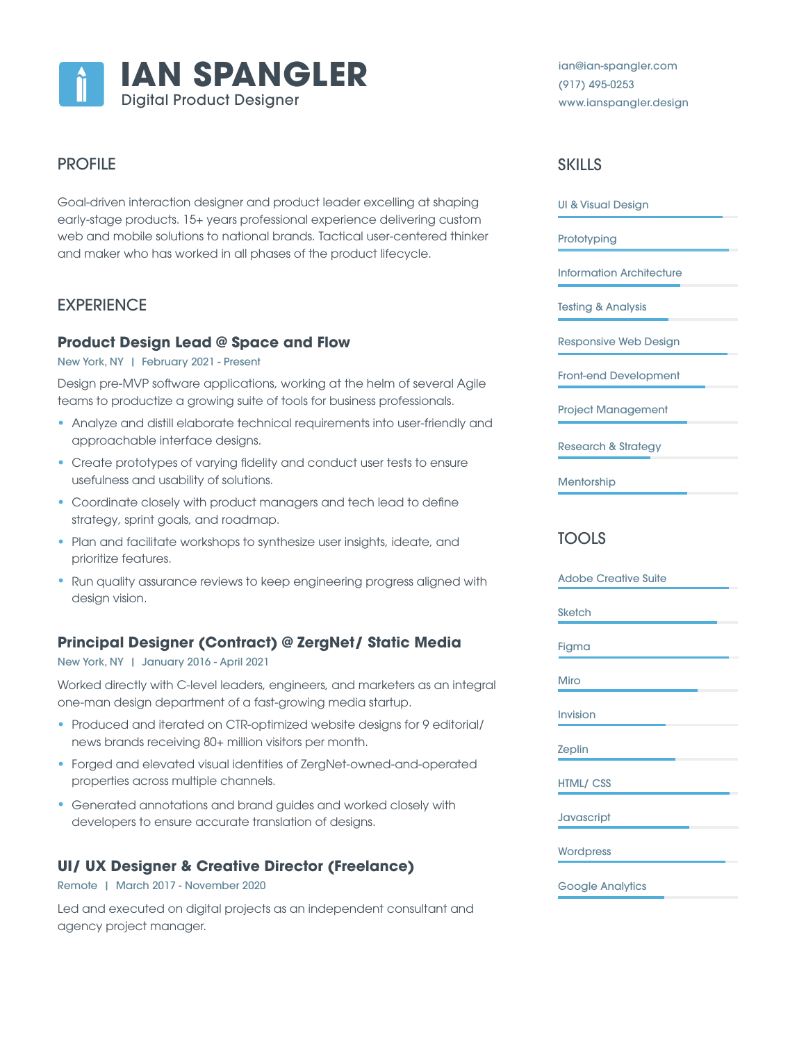

# PROFILE

Goal-driven interaction designer and product leader excelling at shaping early-stage products. 15+ years professional experience delivering custom web and mobile solutions to national brands. Tactical user-centered thinker and maker who has worked in all phases of the product lifecycle.

# **EXPERIENCE**

## **Product Design Lead @ Space and Flow**

New York, NY | February 2021 - Present

Design pre-MVP software applications, working at the helm of several Agile teams to productize a growing suite of tools for business professionals.

- Analyze and distill elaborate technical requirements into user-friendly and approachable interface designs.
- Create prototypes of varying fidelity and conduct user tests to ensure usefulness and usability of solutions.
- Coordinate closely with product managers and tech lead to define strategy, sprint goals, and roadmap.
- Plan and facilitate workshops to synthesize user insights, ideate, and prioritize features.
- Run quality assurance reviews to keep engineering progress aligned with design vision.

## **Principal Designer (Contract) @ ZergNet/ Static Media**

#### New York, NY | January 2016 - April 2021

Worked directly with C-level leaders, engineers, and marketers as an integral one-man design department of a fast-growing media startup.

- Produced and iterated on CTR-optimized website designs for 9 editorial/ news brands receiving 80+ million visitors per month.
- Forged and elevated visual identities of ZergNet-owned-and-operated properties across multiple channels.
- Generated annotations and brand guides and worked closely with developers to ensure accurate translation of designs.

## **UI/ UX Designer & Creative Director (Freelance)**

Remote | March 2017 - November 2020

Led and executed on digital projects as an independent consultant and agency project manager.

ian@ian-spangler.com (917) 495-0253 www.ianspangler.design

# **SKILLS**

UI & Visual Design

**Prototyping** 

Information Architecture

Testing & Analysis

Responsive Web Design

Front-end Development

Project Management

Research & Strategy

**Mentorship** 

# TOOLS

Adobe Creative Suite **Sketch** Figma Miro Invision Zeplin HTML/ CSS **Javascript Wordpress** 

Google Analytics